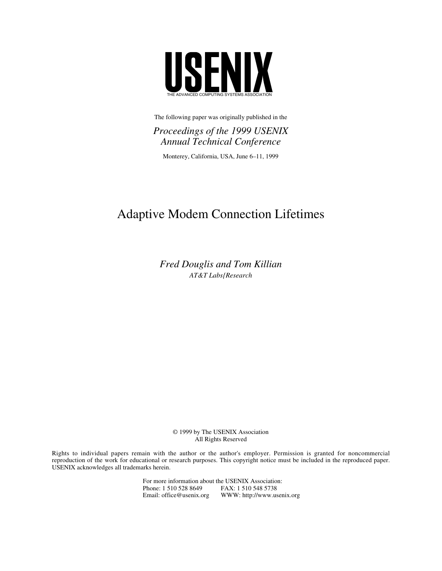

The following paper was originally published in the

*Proceedings of the 1999 USENIX Annual Technical Conference*

Monterey, California, USA, June 6–11, 1999

# Adaptive Modem Connection Lifetimes

*Fred Douglis and Tom Killian AT&T Labs{Research*

> © 1999 by The USENIX Association All Rights Reserved

Rights to individual papers remain with the author or the author's employer. Permission is granted for noncommercial reproduction of the work for educational or research purposes. This copyright notice must be included in the reproduced paper. USENIX acknowledges all trademarks herein.

> For more information about the USENIX Association:<br>Phone: 1 510 528 8649 FAX: 1 510 548 5738 Phone: 1 510 528 8649 Email: office@usenix.org WWW: http://www.usenix.org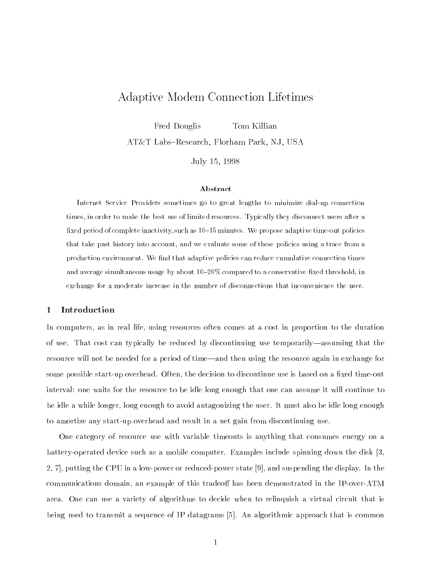## Adaptive Modem Connection Lifetimes

Fred Douglis Tom Killian

AT&T Labs-Research, Florham Park, NJ, USA

July 15, 1998

#### Abstract

Internet Service Providers sometimes go to great lengths to minimize dial-up connection times, in order to make the best use of limited resources. Typically they disconnect users after a fixed period of complete inactivity, such as  $10{-}15$  minutes. We propose adaptive time-out policies that take past history into account, and we evaluate some of these policies using a trace from a production environment. We find that adaptive policies can reduce cumulative connection times and average simultaneous usage by about  $10-20\%$  compared to a conservative fixed threshold, in exchange for a moderate increase in the number of disconnections that inconvenience the user.

## <sup>1</sup> Introduction

In computers, as in real life, using resources often comes at a cost in proportion to the duration of use. That cost can typically be reduced by discontinuing use temporarily—assuming that the resource will not be needed for a period of time—and then using the resource again in exchange for some possible start-up overhead. Often, the decision to discontinue use is based on a fixed time-out interval: one waits for the resource to be idle long enough that one can assume it will continue to be idle a while longer, long enough to avoid antagonizing the user. It must also be idle long enough to amortize any start-up overhead and result in a net gain from discontinuing use.

One category of resource use with variable timeouts is anything that consumes energy on a battery-operated device such as a mobile computer. Examples include spinning down the disk [3, 2, 7], putting the CPU in a low-power or reduced-power state [9], and suspending the display. In the communications domain, an example of this tradeoff has been demonstrated in the IP-over-ATM area. One can use a variety of algorithms to decide when to relinquish a virtual circuit that is being used to transmit a sequence of IP datagrams [5]. An algorithmic approach that is common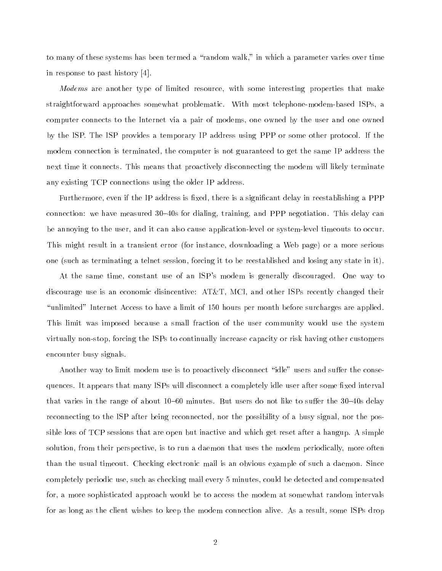to many of these systems has been termed a "random walk," in which a parameter varies over time in response to past history [4].

Modems are another type of limited resource, with some interesting properties that make straightforward approaches somewhat problematic. With most telephone-modem-based ISPs, a computer connects to the Internet via a pair of modems, one owned by the user and one owned by the ISP. The ISP provides a temporary IP address using PPP or some other protocol. If the modem connection is terminated, the computer is not guaranteed to get the same IP address the next time it connects. This means that proactively disconnecting the modem will likely terminate any existing TCP connections using the older IP address.

Furthermore, even if the IP address is fixed, there is a significant delay in reestablishing a PPP connection: we have measured  $30-40s$  for dialing, training, and PPP negotiation. This delay can be annoying to the user, and it can also cause application-level or system-level timeouts to occur. This might result in a transient error (for instance, downloading a Web page) or a more serious one (such as terminating a telnet session, forcing it to be reestablished and losing any state in it).

At the same time, constant use of an ISP's modem is generally discouraged. One way to discourage use is an economic disincentive: AT&T, MCI, and other ISPs recently changed their \unlimited" Internet Access to have a limit of 150 hours per month before surcharges are applied. This limit was imposed because a small fraction of the user community would use the system virtually non-stop, forcing the ISPs to continually increase capacity or risk having other customers encounter busy signals.

Another way to limit modem use is to proactively disconnect "idle" users and suffer the consequences. It appears that many ISPs will disconnect a completely idle user after some fixed interval that varies in the range of about  $10{-}60$  minutes. But users do not like to suffer the 30-40s delay reconnecting to the ISP after being reconnected, nor the possibility of a busy signal, nor the possible loss of TCP sessions that are open but inactive and which get reset after a hangup. A simple solution, from their perspective, is to run a daemon that uses the modem periodically, more often than the usual timeout. Checking electronic mail is an obvious example of such a daemon. Since completely periodic use, such as checking mail every 5 minutes, could be detected and compensated for, a more sophisticated approach would be to access the modem at somewhat random intervals for as long as the client wishes to keep the modem connection alive. As a result, some ISPs drop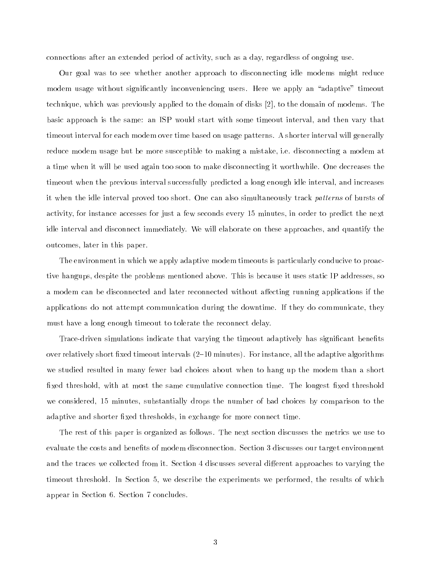connections after an extended period of activity, such as a day, regardless of ongoing use.

Our goal was to see whether another approach to disconnecting idle modems might reduce modem usage without significantly inconveniencing users. Here we apply an "adaptive" timeout technique, which was previously applied to the domain of disks [2], to the domain of modems. The basic approach is the same: an ISP would start with some timeout interval, and then vary that timeout interval for each modem over time based on usage patterns. A shorter interval will generally reduce modem usage but be more susceptible to making a mistake, i.e. disconnecting a modem at a time when it will be used again too soon to make disconnecting it worthwhile. One decreases the timeout when the previous interval successfully predicted a long enough idle interval, and increases it when the idle interval proved too short. One can also simultaneously track patterns of bursts of activity, for instance accesses for just a few seconds every 15 minutes, in order to predict the next idle interval and disconnect immediately. We will elaborate on these approaches, and quantify the outcomes, later in this paper.

The environment in which we apply adaptive modem timeouts is particularly conducive to proactive hangups, despite the problems mentioned above. This is because it uses static IP addresses, so a modem can be disconnected and later reconnected without affecting running applications if the applications do not attempt communication during the downtime. If they do communicate, they must have a long enough timeout to tolerate the reconnect delay.

Trace-driven simulations indicate that varying the timeout adaptively has significant benefits over relatively short fixed timeout intervals  $(2-10 \text{ minutes})$ . For instance, all the adaptive algorithms we studied resulted in many fewer bad choices about when to hang up the modem than a short fixed threshold, with at most the same cumulative connection time. The longest fixed threshold we considered, 15 minutes, substantially drops the number of bad choices by comparison to the adaptive and shorter fixed thresholds, in exchange for more connect time.

The rest of this paper is organized as follows. The next section discusses the metrics we use to evaluate the costs and benefits of modem disconnection. Section 3 discusses our target environment and the traces we collected from it. Section 4 discusses several different approaches to varying the timeout threshold. In Section 5, we describe the experiments we performed, the results of which appear in Section 6. Section 7 concludes.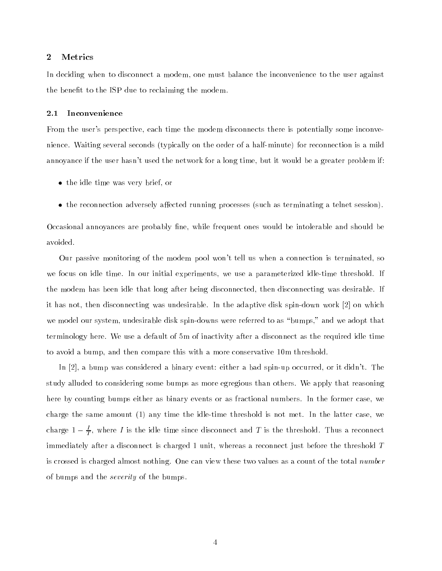## <sup>2</sup> Metrics

In deciding when to disconnect a modem, one must balance the inconvenience to the user against the benefit to the ISP due to reclaiming the modem.

#### 2.1 Inconvenience

From the user's perspective, each time the modem disconnects there is potentially some inconvenience. Waiting several seconds (typically on the order of a half-minute) for reconnection is a mild annoyance if the user hasn't used the network for a long time, but it would be a greater problem if:

- the idle time was very brief, or
- $\bullet$  the reconnection adversely affected running processes (such as terminating a telnet session).

Occasional annoyances are probably fine, while frequent ones would be intolerable and should be avoided.

Our passive monitoring of the modem pool won't tell us when a connection is terminated, so we focus on idle time. In our initial experiments, we use a parameterized idle-time threshold. If the modem has been idle that long after being disconnected, then disconnecting was desirable. If it has not, then disconnecting was undesirable. In the adaptive disk spin-down work [2] on which we model our system, undesirable disk spin-downs were referred to as "bumps," and we adopt that terminology here. We use a default of 5m of inactivity after a disconnect as the required idle time to avoid a bump, and then compare this with a more conservative 10m threshold.

In [2], a bump was considered a binary event: either a bad spin-up occurred, or it didn't. The study alluded to considering some bumps as more egregious than others. We apply that reasoning here by counting bumps either as binary events or as fractional numbers. In the former case, we charge the same amount (1) any time the idle-time threshold is not met. In the latter case, we charge 1  $\frac{\tau}{T},$  where  $I$  is the idle time since disconnect and  $I$  is the threshold. Thus a reconnect immediately after a disconnect is charged 1 unit, whereas a reconnect just before the threshold <sup>T</sup> is crossed is charged almost nothing. One can view these two values as a count of the total number of bumps and the severity of the bumps.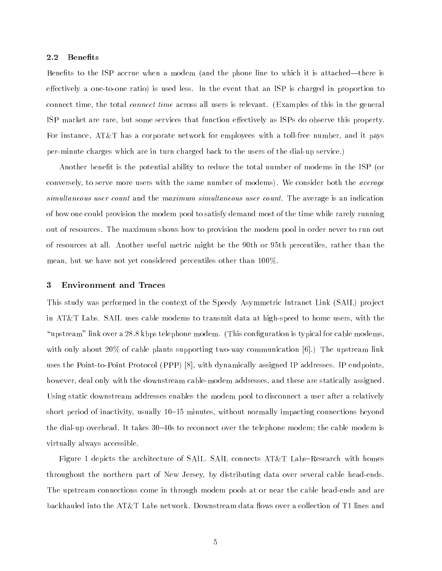#### 2.2 Benefits

Benefits to the ISP accrue when a modem (and the phone line to which it is attached—there is effectively a one-to-one ratio) is used less. In the event that an ISP is charged in proportion to connect time, the total connect time across all users is relevant. (Examples of this in the general ISP market are rare, but some services that function effectively as ISPs do observe this property. For instance, AT&T has a corporate network for employees with a toll-free number, and it pays per-minute charges which are in turn charged back to the users of the dial-up service.)

Another benefit is the potential ability to reduce the total number of modems in the ISP (or conversely, to serve more users with the same number of modems). We consider both the *average* simultaneous user count and the maximum simultaneous user count. The average is an indication of how one could provision the modem pool to satisfy demand most of the time while rarely running out of resources. The maximum shows how to provision the modem pool in order never to run out of resources at all. Another useful metric might be the 90th or 95th percentiles, rather than the mean, but we have not yet considered percentiles other than 100%.

## <sup>3</sup> Environment and Traces

This study was performed in the context of the Speedy Asymmetric Intranet Link (SAIL) project in AT&T Labs. SAIL uses cable modems to transmit data at high-speed to home users, with the "upstream" link over a  $28.8$  kbps telephone modem. (This configuration is typical for cable modems, with only about 20% of cable plants supporting two-way communication  $[6]$ .) The upstream link uses the Point-to-Point Protocol (PPP) [8], with dynamically assigned IP addresses. IP endpoints, however, deal only with the downstream cable-modem addresses, and these are statically assigned. Using static downstream addresses enables the modem pool to disconnect a user after a relatively short period of inactivity, usually  $10{-}15$  minutes, without normally impacting connections beyond the dial-up overhead. It takes 30–40s to reconnect over the telephone modem; the cable modem is virtually always accessible.

Figure 1 depicts the architecture of SAIL. SAIL connects  $AT\&T$  Labs–Research with homes throughout the northern part of New Jersey, by distributing data over several cable head-ends. The upstream connections come in through modem pools at or near the cable head-ends and are backhauled into the AT&T Labs network. Downstream data flows over a collection of T1 lines and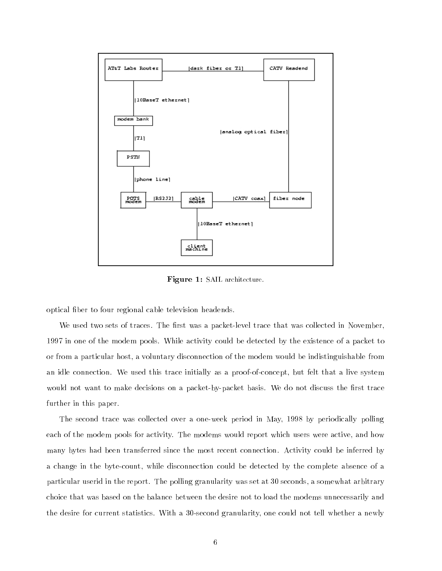

Figure 1: SAIL architecture.

optical ber to four regional cable television headends.

We used two sets of traces. The first was a packet-level trace that was collected in November, 1997 in one of the modem pools. While activity could be detected by the existence of a packet to or from a particular host, a voluntary disconnection of the modem would be indistinguishable from an idle connection. We used this trace initially as a proof-of-concept, but felt that a live system would not want to make decisions on a packet-by-packet basis. We do not discuss the first trace further in this paper.

The second trace was collected over a one-week period in May, 1998 by periodically polling each of the modem pools for activity. The modems would report which users were active, and how many bytes had been transferred since the most recent connection. Activity could be inferred by a change in the byte-count, while disconnection could be detected by the complete absence of a particular userid in the report. The polling granularity was set at 30 seconds, a somewhat arbitrary choice that was based on the balance between the desire not to load the modems unnecessarily and the desire for current statistics. With a 30-second granularity, one could not tell whether a newly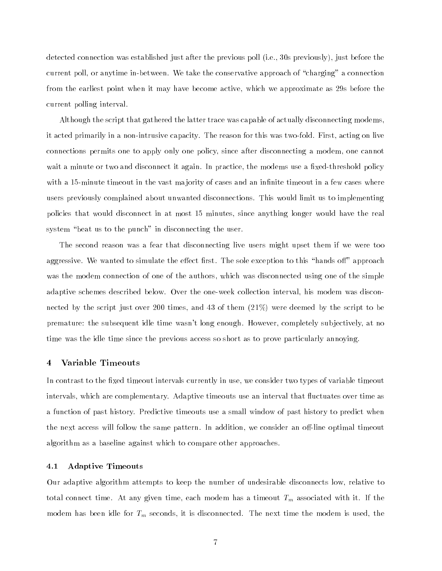detected connection was established just after the previous poll (i.e., 30s previously), just before the current poll, or anytime in-between. We take the conservative approach of "charging" a connection from the earliest point when it may have become active, which we approximate as 29s before the current polling interval.

Although the script that gathered the latter trace was capable of actually disconnecting modems, it acted primarily in a non-intrusive capacity. The reason for this was two-fold. First, acting on live connections permits one to apply only one policy, since after disconnecting a modem, one cannot wait a minute or two and disconnect it again. In practice, the modems use a fixed-threshold policy with a 15-minute timeout in the vast majority of cases and an infinite timeout in a few cases where users previously complained about unwanted disconnections. This would limit us to implementing policies that would disconnect in at most 15 minutes, since anything longer would have the real system "beat us to the punch" in disconnecting the user.

The second reason was a fear that disconnecting live users might upset them if we were too aggressive. We wanted to simulate the effect first. The sole exception to this "hands off" approach was the modem connection of one of the authors, which was disconnected using one of the simple adaptive schemes described below. Over the one-week collection interval, his modem was disconnected by the script just over 200 times, and 43 of them (21%) were deemed by the script to be premature: the subsequent idle time wasn't long enough. However, completely sub jectively, at no time was the idle time since the previous access so short as to prove particularly annoying.

## <sup>4</sup> Variable Timeouts

In contrast to the fixed timeout intervals currently in use, we consider two types of variable timeout intervals, which are complementary. Adaptive timeouts use an interval that fluctuates over time as a function of past history. Predictive timeouts use a small window of past history to predict when the next access will follow the same pattern. In addition, we consider an off-line optimal timeout algorithm as a baseline against which to compare other approaches.

#### 4.1 Adaptive Timeouts

Our adaptive algorithm attempts to keep the number of undesirable disconnects low, relative to total connect time. At any given time, each modem has a timeout  $T_m$  associated with it. If the modem has been idle for  $T_m$  seconds, it is disconnected. The next time the modem is used, the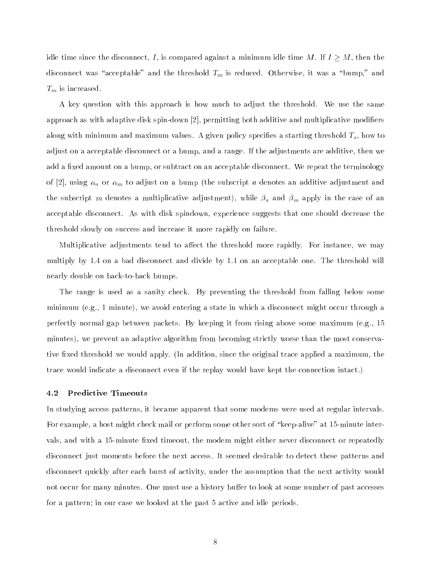idle time since the disconnect, I, is compared against a minimum idle time M. If  $I \geq M$ , then the disconnect was "acceptable" and the threshold  $T_m$  is reduced. Otherwise, it was a "bump," and  $T_m$  is increased.

A key question with this approach is how much to adjust the threshold. We use the same approach as with adaptive disk spin-down [2], permitting both additive and multiplicative modiers along with minimum and maximum values. A given policy specifies a starting threshold  $T_s$ , how to adjust on a acceptable disconnect or a bump, and a range. If the adjustments are additive, then we add a fixed amount on a bump, or subtract on an acceptable disconnect. We repeat the terminology of [2], using  $\alpha_a$  or  $\alpha_m$  to adjust on a bump (the subscript a denotes an additive adjustment and the subscript m denotes a multiplicative adjustment), while  $\beta_a$  and  $\beta_m$  apply in the case of an acceptable disconnect. As with disk spindown, experience suggests that one should decrease the threshold slowly on success and increase it more rapidly on failure.

Multiplicative adjustments tend to affect the threshold more rapidly. For instance, we may multiply by 1.4 on a bad disconnect and divide by 1.1 on an acceptable one. The threshold will nearly double on back-to-back bumps.

The range is used as a sanity check. By preventing the threshold from falling below some minimum (e.g., 1 minute), we avoid entering a state in which a disconnect might occur through a perfectly normal gap between packets. By keeping it from rising above some maximum (e.g., 15 minutes), we prevent an adaptive algorithm from becoming strictly worse than the most conservative fixed threshold we would apply. (In addition, since the original trace applied a maximum, the trace would indicate a disconnect even if the replay would have kept the connection intact.)

#### 4.2 Predictive Timeouts

In studying access patterns, it became apparent that some modems were used at regular intervals. For example, a host might check mail or perform some other sort of "keep-alive" at 15-minute intervals, and with a 15-minute fixed timeout, the modem might either never disconnect or repeatedly disconnect just moments before the next access. It seemed desirable to detect these patterns and disconnect quickly after each burst of activity, under the assumption that the next activity would not occur for many minutes. One must use a history buffer to look at some number of past accesses for a pattern; in our case we looked at the past 5 active and idle periods.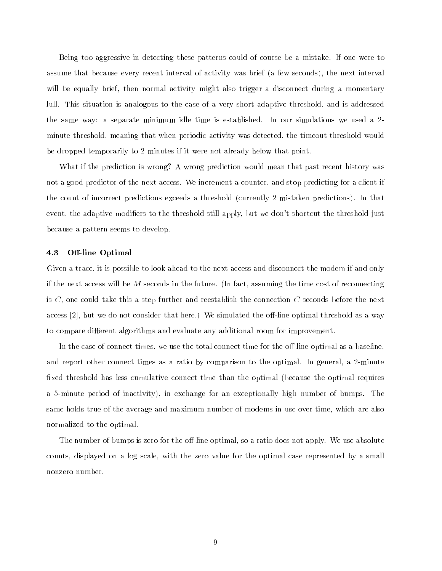Being too aggressive in detecting these patterns could of course be a mistake. If one were to assume that because every recent interval of activity was brief (a few seconds), the next interval will be equally brief, then normal activity might also trigger a disconnect during a momentary lull. This situation is analogous to the case of a very short adaptive threshold, and is addressed the same way: a separate minimum idle time is established. In our simulations we used a 2 minute threshold, meaning that when periodic activity was detected, the timeout threshold would be dropped temporarily to 2 minutes if it were not already below that point.

What if the prediction is wrong? A wrong prediction would mean that past recent history was not a good predictor of the next access. We increment a counter, and stop predicting for a client if the count of incorrect predictions exceeds a threshold (currently 2 mistaken predictions). In that event, the adaptive modifiers to the threshold still apply, but we don't shortcut the threshold just because a pattern seems to develop.

#### 4.3 Off-line Optimal

Given a trace, it is possible to look ahead to the next access and disconnect the modem if and only if the next access will be  $M$  seconds in the future. (In fact, assuming the time cost of reconnecting is  $C$ , one could take this a step further and reestablish the connection  $C$  seconds before the next access [2], but we do not consider that here.) We simulated the off-line optimal threshold as a way to compare different algorithms and evaluate any additional room for improvement.

In the case of connect times, we use the total connect time for the off-line optimal as a baseline, and report other connect times as a ratio by comparison to the optimal. In general, a 2-minute fixed threshold has less cumulative connect time than the optimal (because the optimal requires a 5-minute period of inactivity), in exchange for an exceptionally high number of bumps. The same holds true of the average and maximum number of modems in use over time, which are also normalized to the optimal.

The number of bumps is zero for the off-line optimal, so a ratio does not apply. We use absolute counts, displayed on a log scale, with the zero value for the optimal case represented by a small nonzero number.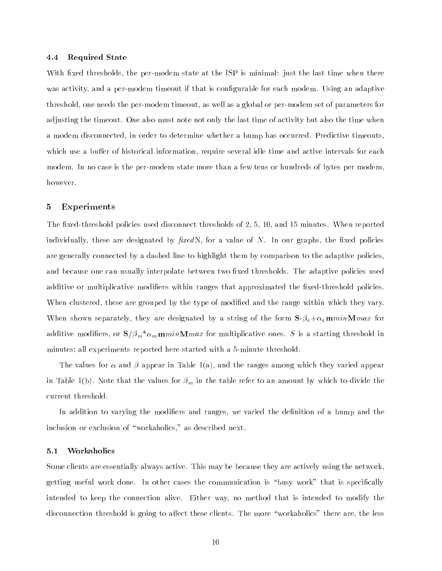#### 4.4 Required State

With fixed thresholds, the per-modem state at the ISP is minimal: just the last time when there was activity, and a per-modem timeout if that is configurable for each modem. Using an adaptive threshold, one needs the per-modem timeout, as well as a global or per-modem set of parameters for adjusting the timeout. One also must note not only the last time of activity but also the time when a modem disconnected, in order to determine whether a bump has occurred. Predictive timeouts, which use a buffer of historical information, require several idle time and active intervals for each modem. In no case is the per-modem state more than a few tens or hundreds of bytes per modem, however.

#### <sup>5</sup> Experiments

The fixed-threshold policies used disconnect thresholds of  $2,\,5,\,10,$  and  $15$  minutes. When reported individually, these are designated by  $\text{fixedN}$ , for a value of N. In our graphs, the fixed policies are generally connected by a dashed line to highlight them by comparison to the adaptive policies, and because one can usually interpolate between two fixed thresholds. The adaptive policies used additive or multiplicative modifiers within ranges that approximated the fixed-threshold policies. When clustered, these are grouped by the type of modified and the range within which they vary. When shown separately, they are designated by a string of the form  $S$ - $\beta_a + \alpha_a$ **m**minMmax for additive modifiers, or  $S/\beta_m * \alpha_m \mathbf{m} \min \mathbf{M} \max$  for multiplicative ones. S is a starting threshold in minutes; all experiments reported here started with a 5-minute threshold.

The values for  $\alpha$  and  $\beta$  appear in Table 1(a), and the ranges among which they varied appear in Table 1(b). Note that the values for  $\beta_m$  in the table refer to an amount by which to divide the current threshold.

In addition to varying the modifiers and ranges, we varied the definition of a bump and the inclusion or exclusion of "workaholics," as described next.

#### 5.1 Workaholics

Some clients are essentially always active. This may be because they are actively using the network, getting useful work done. In other cases the communication is "busy work" that is specifically intended to keep the connection alive. Either way, no method that is intended to modify the disconnection threshold is going to affect these clients. The more "workaholics" there are, the less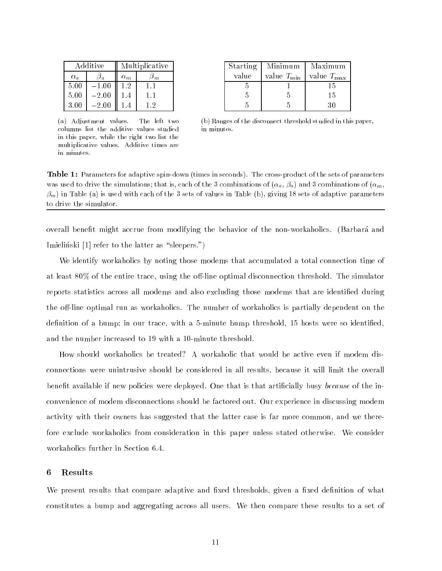| Additive   |         | Multiplicative |     |
|------------|---------|----------------|-----|
| $\alpha_a$ |         | $\alpha_m$     | m.  |
| 5.00       | $-1.00$ | 1.2            | 1.1 |
| 5.00       | $-2.00$ | 1.4            | 1.1 |
| 3.00       | $-2.00$ |                | - 9 |

(a) Adjustment values. The left two columns list the additive values studied in this paper, while the right two list the multiplicative values. Additive times are in minutes.

| Starting | Minimum          | Maximum             |
|----------|------------------|---------------------|
| value    | value $T_{\min}$ | value $T_{\rm max}$ |
|          |                  | 15                  |
|          |                  | 15                  |
|          |                  |                     |

(b) Ranges of the disconnect threshold studied in this paper, in minutes.

Table 1: Parameters for adaptive spin-down (times in seconds). The cross-product of the sets of parameters was used to drive the simulations; that is, each of the 3 combinations of  $(\alpha_a, \beta_a)$  and 3 combinations of  $(\alpha_m, \beta_a)$  $\beta_m$ ) in Table (a) is used with each of the 3 sets of values in Table (b), giving 18 sets of adaptive parameters to drive the simulator.

overall benefit might accrue from modifying the behavior of the non-workaholics. (Barbara and Imielinski  $[1]$  refer to the latter as "sleepers.")

We identify workaholics by noting those modems that accumulated a total connection time of at least  $80\%$  of the entire trace, using the off-line optimal disconnection threshold. The simulator reports statistics across all modems and also excluding those modems that are identied during the off-line optimal run as workaholics. The number of workaholics is partially dependent on the definition of a bump; in our trace, with a 5-minute bump threshold, 15 hosts were so identified, and the number increased to 19 with a 10-minute threshold.

How should workaholics be treated? A workaholic that would be active even if modem disconnections were unintrusive should be considered in all results, because it will limit the overall benefit available if new policies were deployed. One that is that artificially busy because of the inconvenience of modem disconnections should be factored out. Our experience in discussing modem activity with their owners has suggested that the latter case is far more common, and we therefore exclude workaholics from consideration in this paper unless stated otherwise. We consider workaholics further in Section 6.4.

#### <sup>6</sup> Results

We present results that compare adaptive and fixed thresholds, given a fixed definition of what constitutes a bump and aggregating across all users. We then compare these results to a set of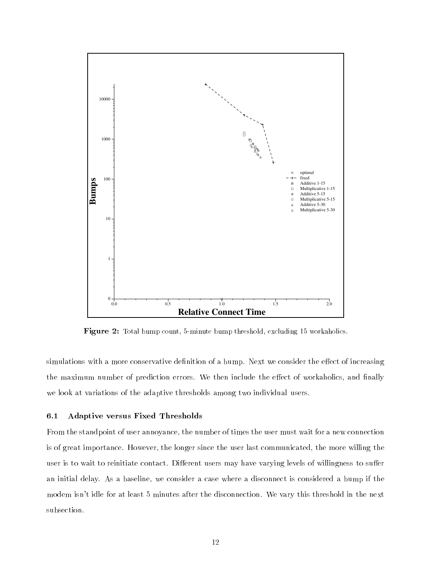

**Figure 2:** Total bump count, 5-minute bump threshold, excluding 15 workaholics.

simulations with a more conservative definition of a bump. Next we consider the effect of increasing the maximum number of prediction errors. We then include the effect of workaholics, and finally we look at variations of the adaptive thresholds among two individual users.

## 6.1 Adaptive versus Fixed Thresholds

From the standpoint of user annoyance, the number of times the user must wait for a new connection is of great importance. However, the longer since the user last communicated, the more willing the user is to wait to reinitiate contact. Different users may have varying levels of willingness to suffer an initial delay. As a baseline, we consider a case where a disconnect is considered a bump if the modem isn't idle for at least 5 minutes after the disconnection. We vary this threshold in the next subsection.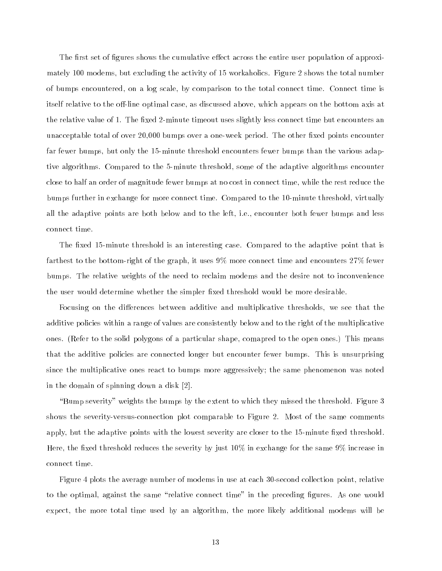The first set of figures shows the cumulative effect across the entire user population of approximately 100 modems, but excluding the activity of 15 workaholics. Figure 2 shows the total number of bumps encountered, on a log scale, by comparison to the total connect time. Connect time is itself relative to the off-line optimal case, as discussed above, which appears on the bottom axis at the relative value of 1. The fixed 2-minute timeout uses slightly less connect time but encounters an unacceptable total of over 20,000 bumps over a one-week period. The other fixed points encounter far fewer bumps, but only the 15-minute threshold encounters fewer bumps than the various adaptive algorithms. Compared to the 5-minute threshold, some of the adaptive algorithms encounter close to half an order of magnitude fewer bumps at no cost in connect time, while the rest reduce the bumps further in exchange for more connect time. Compared to the 10-minute threshold, virtually all the adaptive points are both below and to the left, i.e., encounter both fewer bumps and less connect time.

The fixed 15-minute threshold is an interesting case. Compared to the adaptive point that is farthest to the bottom-right of the graph, it uses 9% more connect time and encounters 27% fewer bumps. The relative weights of the need to reclaim modems and the desire not to inconvenience the user would determine whether the simpler fixed threshold would be more desirable.

Focusing on the differences between additive and multiplicative thresholds, we see that the additive policies within a range of values are consistently below and to the right of the multiplicative ones. (Refer to the solid polygons of a particular shape, comapred to the open ones.) This means that the additive policies are connected longer but encounter fewer bumps. This is unsurprising since the multiplicative ones react to bumps more aggressively; the same phenomenon was noted in the domain of spinning down a disk [2].

"Bump severity" weights the bumps by the extent to which they missed the threshold. Figure  $3$ shows the severity-versus-connection plot comparable to Figure 2. Most of the same comments apply, but the adaptive points with the lowest severity are closer to the 15-minute fixed threshold. Here, the fixed threshold reduces the severity by just  $10\%$  in exchange for the same  $9\%$  increase in connect time.

Figure 4 plots the average number of modems in use at each 30-second collection point, relative to the optimal, against the same "relative connect time" in the preceding figures. As one would expect, the more total time used by an algorithm, the more likely additional modems will be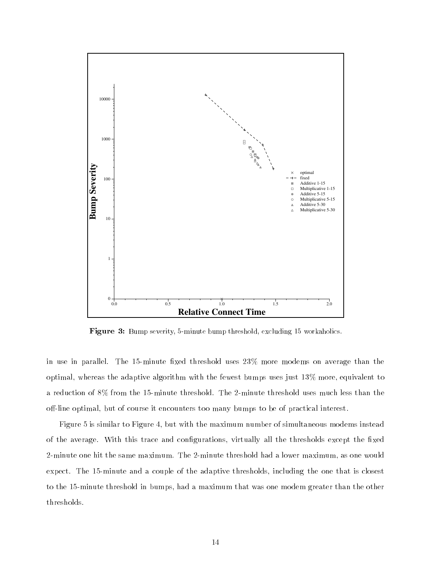

Figure 3: Bump severity, 5-minute bump threshold, excluding 15 workaholics.

in use in parallel. The 15-minute fixed threshold uses  $23\%$  more modems on average than the optimal, whereas the adaptive algorithm with the fewest bumps uses just 13% more, equivalent to a reduction of 8% from the 15-minute threshold. The 2-minute threshold uses much less than the off-line optimal, but of course it encounters too many bumps to be of practical interest.

Figure 5 is similar to Figure 4, but with the maximum number of simultaneous modems instead of the average. With this trace and configurations, virtually all the thresholds except the fixed 2-minute one hit the same maximum. The 2-minute threshold had a lower maximum, as one would expect. The 15-minute and a couple of the adaptive thresholds, including the one that is closest to the 15-minute threshold in bumps, had a maximum that was one modem greater than the other thresholds.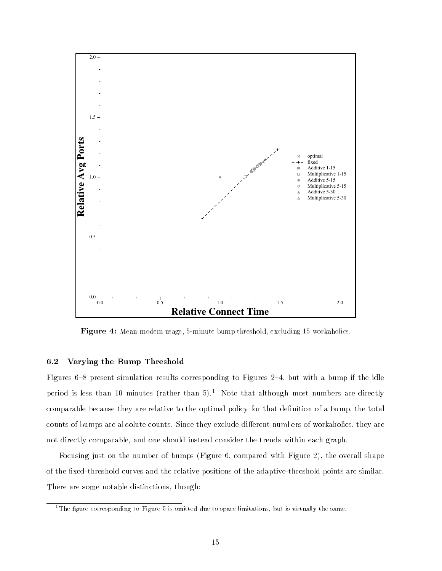

Figure 4: Mean modem usage, 5-minute bump threshold, excluding 15 workaholics.

## 6.2 Varying the Bump Threshold

Figures 6-8 present simulation results corresponding to Figures 2-4, but with a bump if the idle period is less than 10 minutes (rather than 5).<sup>1</sup> Note that although most numbers are directly comparable because they are relative to the optimal policy for that definition of a bump, the total counts of bumps are absolute counts. Since they exclude different numbers of workaholics, they are not directly comparable, and one should instead consider the trends within each graph.

Focusing just on the number of bumps (Figure 6, compared with Figure 2), the overall shape of the fixed-threshold curves and the relative positions of the adaptive-threshold points are similar. There are some notable distinctions, though:

<sup>&</sup>lt;sup>1</sup>The figure corresponding to Figure 5 is omitted due to space limitations, but is virtually the same.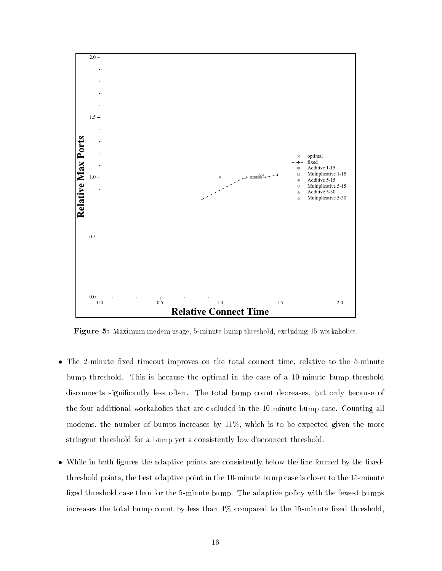

Figure 5: Maximum modem usage, 5-minute bump threshold, excluding 15 workaholics.

- $\bullet$  The 2-minute fixed timeout improves on the total connect time, relative to the 5-minute bump threshold. This is because the optimal in the case of a 10-minute bump threshold disconnects signicantly less often. The total bump count decreases, but only because of the four additional workaholics that are excluded in the 10-minute bump case. Counting all modems, the number of bumps increases by 11%, which is to be expected given the more stringent threshold for a bump yet a consistently low disconnect threshold.
- $\bullet$  While in both figures the adaptive points are consistently below the line formed by the fixedthreshold points, the best adaptive point in the 10-minute bump case is closer to the 15-minute fixed threshold case than for the 5-minute bump. The adaptive policy with the fewest bumps increases the total bump count by less than  $4\%$  compared to the 15-minute fixed threshold,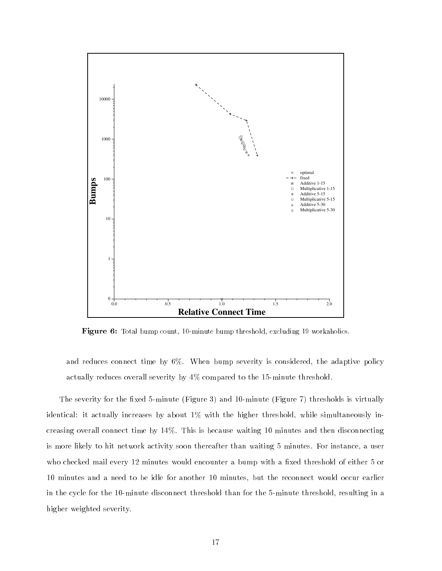

Figure 6: Total bump count, 10-minute bump threshold, excluding 19 workaholics.

and reduces connect time by 6%. When bump severity is considered, the adaptive policy actually reduces overall severity by 4% compared to the 15-minute threshold.

The severity for the fixed 5-minute (Figure 3) and 10-minute (Figure 7) thresholds is virtually identical: it actually increases by about 1% with the higher threshold, while simultaneously increasing overall connect time by 14%. This is because waiting 10 minutes and then disconnecting is more likely to hit network activity soon thereafter than waiting 5 minutes. For instance, a user who checked mail every 12 minutes would encounter a bump with a fixed threshold of either 5 or 10 minutes and a need to be idle for another 10 minutes, but the reconnect would occur earlier in the cycle for the 10-minute disconnect threshold than for the 5-minute threshold, resulting in a higher weighted severity.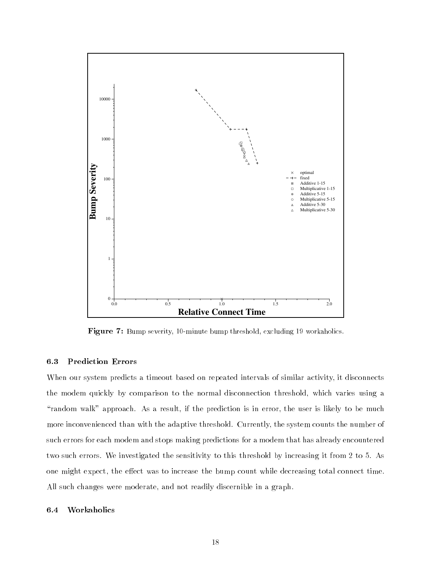

**Figure 7:** Bump severity, 10-minute bump threshold, excluding 19 workaholics.

## 6.3 Prediction Errors

When our system predicts a timeout based on repeated intervals of similar activity, it disconnects the modem quickly by comparison to the normal disconnection threshold, which varies using a "random walk" approach. As a result, if the prediction is in error, the user is likely to be much more inconvenienced than with the adaptive threshold. Currently, the system counts the number of such errors for each modem and stops making predictions for a modem that has already encountered two such errors. We investigated the sensitivity to this threshold by increasing it from 2 to 5. As one might expect, the effect was to increase the bump count while decreasing total connect time. All such changes were moderate, and not readily discernible in a graph.

#### 6.4 Workaholics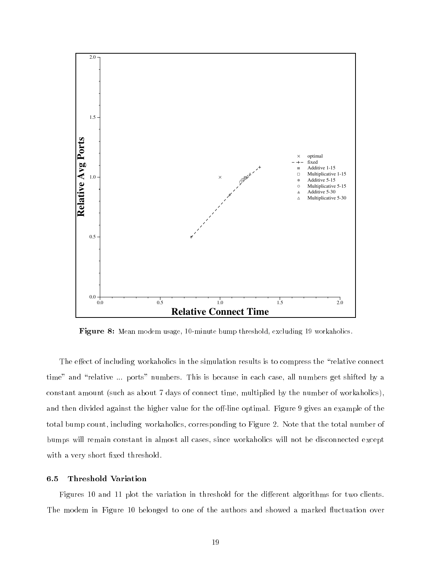

Figure 8: Mean modem usage, 10-minute bump threshold, excluding 19 workaholics.

The effect of including workaholics in the simulation results is to compress the "relative connect" time" and "relative ... ports" numbers. This is because in each case, all numbers get shifted by a constant amount (such as about 7 days of connect time, multiplied by the number of workaholics), and then divided against the higher value for the off-line optimal. Figure 9 gives an example of the total bump count, including workaholics, corresponding to Figure 2. Note that the total number of bumps will remain constant in almost all cases, since workaholics will not be disconnected except with a very short fixed threshold.

## 6.5 Threshold Variation

Figures 10 and 11 plot the variation in threshold for the different algorithms for two clients. The modem in Figure 10 belonged to one of the authors and showed a marked fluctuation over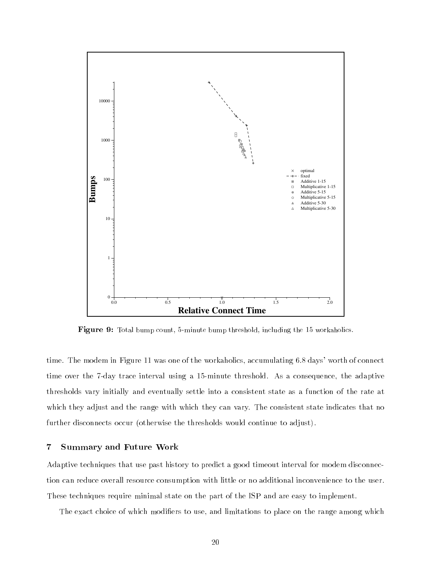

Figure 9: Total bump count, 5-minute bump threshold, including the 15 workaholics.

time. The modem in Figure 11 was one of the workaholics, accumulating 6.8 days' worth of connect time over the 7-day trace interval using a 15-minute threshold. As a consequence, the adaptive thresholds vary initially and eventually settle into a consistent state as a function of the rate at which they adjust and the range with which they can vary. The consistent state indicates that no further disconnects occur (otherwise the thresholds would continue to adjust).

## <sup>7</sup> Summary and Future Work

Adaptive techniques that use past history to predict a good timeout interval for modem disconnection can reduce overall resource consumption with little or no additional inconvenience to the user. These techniques require minimal state on the part of the ISP and are easy to implement.

The exact choice of which modifiers to use, and limitations to place on the range among which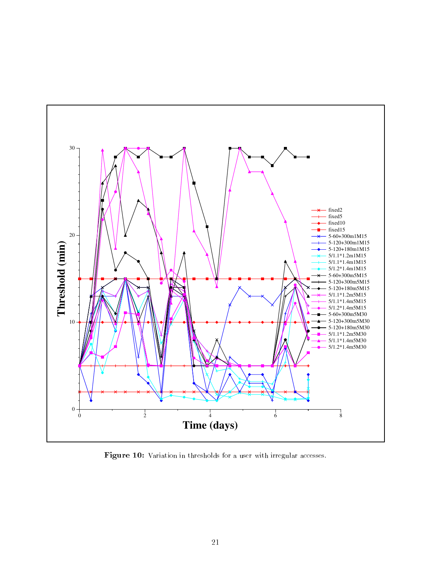

Figure 10: Variation in thresholds for a user with irregular accesses.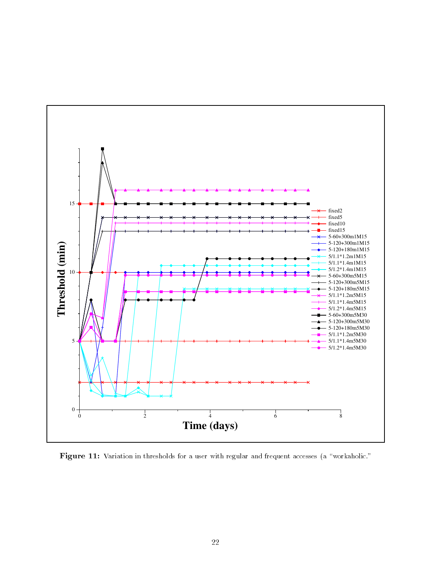

Figure 11: Variation in thresholds for a user with regular and frequent accesses (a "workaholic."